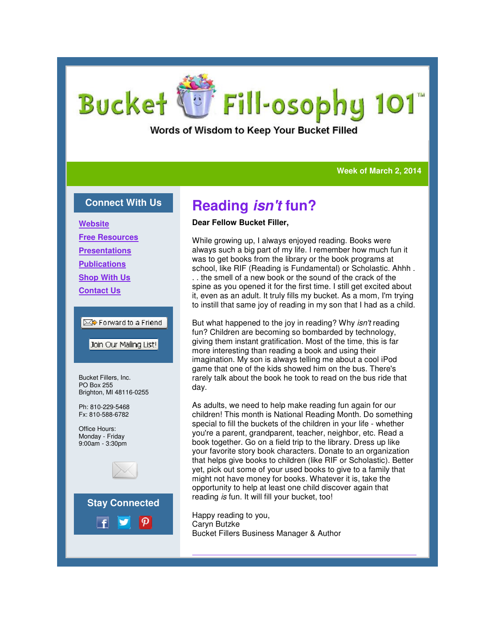# Fill-osophy 101 Bucket

Words of Wisdom to Keep Your Bucket Filled

**Week of March 2, 2014 Week** 

### **Connect With Us**

**Website Free Resources Presentations Publications Shop With Us Contact Us**

### is Forward to a Friend

Join Our Mailing List!

Bucket Fillers, Inc. PO Box 255 Brighton, MI 48116-0255

Ph: 810-229-5468 Fx: 810-588-6782

Office Hours: Monday - Friday 9:00am - 3:30pm





# **Reading isn't fun?**

### **Dear Fellow Bucket Filler,**

While growing up, I always enjoyed reading. Books were While growing up, I always enjoyed reading. Books were<br>always such a big part of my life. I remember how much fun it was to get books from the library or the book programs at school, like RIF (Reading is Fundamental) or Scholastic. Ahhh . . . the smell of a new book or the sound of the crack of the spine as you opened it for the first time. I still get excited about it, even as an adult. It truly fills my bucket. As a mom, I'm trying to instill that same joy of reading in my son that I had as a child. was to get books from the library or the book programs at school, like RIF (Reading is Fundamental) or Scholastic. Ah.<br>
. the smell of a new book or the sound of the crack of the spine as you opened it for the first time.

But what happened to the joy in reading? Why *isn't* reading fun? Children are becoming so bombarded by technology, giving them instant gratification. Most of the time, this is far more interesting than reading a book and using their imagination. My son is always telling me about a cool iPod game that one of the kids showed him on the bus. There's rarely talk about the book he took to read on the bus ride that day. so bombarded by technology,<br>ion. Most of the time, this is far<br>g a book and using their imagination. My son is always telling me about a cool iPod<br>game that one of the kids showed him on the bus. There's<br>rarely talk about the book he took to read on the bus ride that<br>day.<br>As adults, we need to help make readi

As adults, we need to help make reading fun again for our children! This month is National Reading Month. Do something special to fill the buckets of the children in your life - whether you're a parent, grandparent, teacher, neighbor, etc. Read a book together. Go on a field trip to the library. Dress up like your favorite story book characters. Donate to an organization that helps give books to children (like RIF or Scholastic). Better yet, pick out some of your used books to give to a family that might not have money for books. Whatever it is, take the opportunity to help at least one child discover again that reading is fun. It will fill your bucket, too! , grandparent, teacher, neighbor, etc. Read a<br>Go on a field trip to the library. Dress up like<br>pry book characters. Donate to an organization<br>books to children (like RIF or Scholastic). Bette<br>me of your used books to give

Happy reading to you, Caryn Butzke Bucket Fillers Business Manager & Author